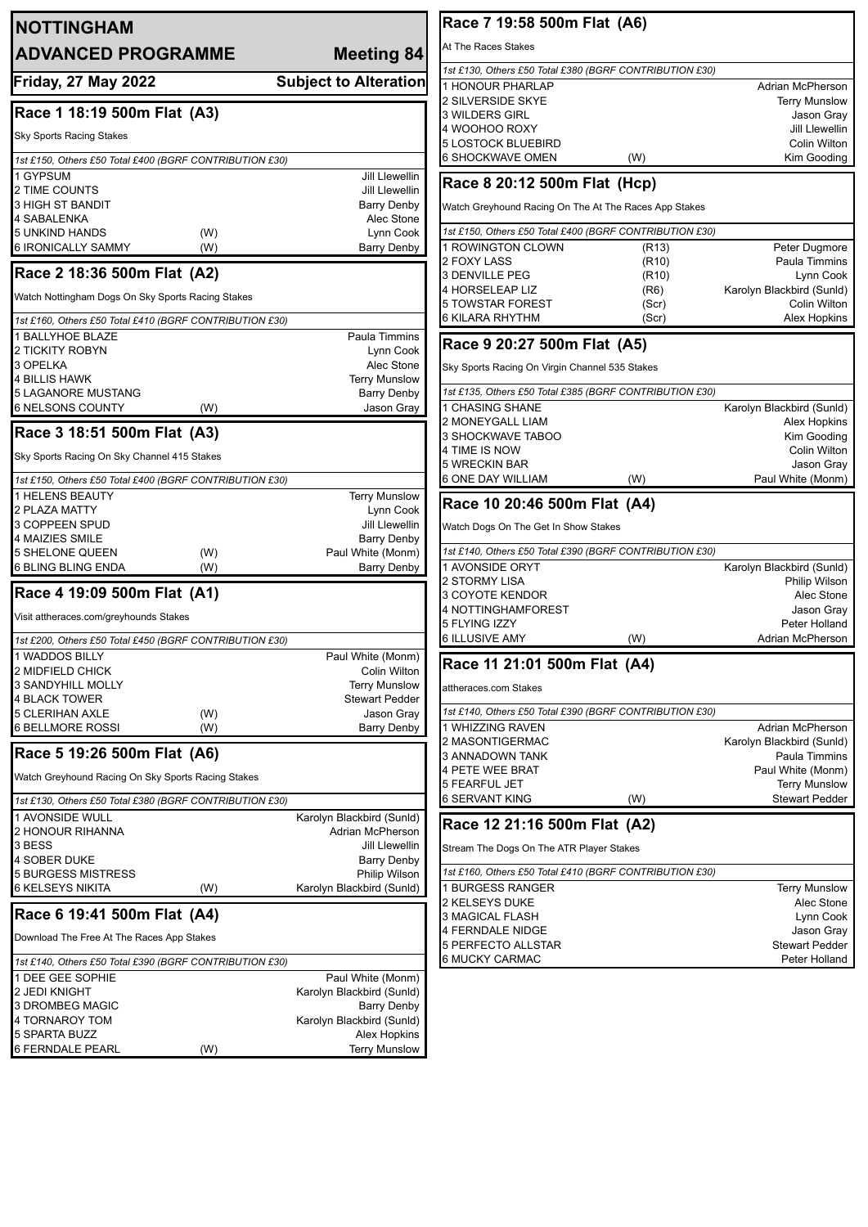| <b>NOTTINGHAM</b>                                           |                                    | Race 7 19:58 500m Flat (A6)                             |                    |                                               |
|-------------------------------------------------------------|------------------------------------|---------------------------------------------------------|--------------------|-----------------------------------------------|
| <b>ADVANCED PROGRAMME</b>                                   | Meeting 84                         | At The Races Stakes                                     |                    |                                               |
|                                                             |                                    | 1st £130, Others £50 Total £380 (BGRF CONTRIBUTION £30) |                    |                                               |
| <b>Friday, 27 May 2022</b>                                  | <b>Subject to Alteration</b>       | 1 HONOUR PHARLAP                                        |                    | Adrian McPherson                              |
|                                                             |                                    | 2 SILVERSIDE SKYE                                       |                    | <b>Terry Munslow</b>                          |
| Race 1 18:19 500m Flat (A3)                                 |                                    | 3 WILDERS GIRL                                          |                    | Jason Gray                                    |
| <b>Sky Sports Racing Stakes</b>                             |                                    | 4 WOOHOO ROXY                                           |                    | Jill Llewellin                                |
|                                                             |                                    | <b>5 LOSTOCK BLUEBIRD</b>                               |                    | Colin Wilton                                  |
| 1st £150, Others £50 Total £400 (BGRF CONTRIBUTION £30)     |                                    | 6 SHOCKWAVE OMEN                                        | (W)                | Kim Gooding                                   |
| 1 GYPSUM                                                    | Jill Llewellin                     | Race 8 20:12 500m Flat (Hcp)                            |                    |                                               |
| 2 TIME COUNTS                                               | Jill Llewellin                     |                                                         |                    |                                               |
| 3 HIGH ST BANDIT<br>4 SABALENKA                             | <b>Barry Denby</b><br>Alec Stone   | Watch Greyhound Racing On The At The Races App Stakes   |                    |                                               |
| <b>5 UNKIND HANDS</b><br>(W)                                | Lynn Cook                          | 1st £150, Others £50 Total £400 (BGRF CONTRIBUTION £30) |                    |                                               |
| 6 IRONICALLY SAMMY<br>(W)                                   | <b>Barry Denby</b>                 | 1 ROWINGTON CLOWN                                       | (R13)              | Peter Dugmore                                 |
|                                                             |                                    | 2 FOXY LASS                                             | (R <sub>10</sub> ) | Paula Timmins                                 |
| Race 2 18:36 500m Flat (A2)                                 |                                    | <b>3 DENVILLE PEG</b>                                   | (R10)              | Lynn Cook                                     |
| Watch Nottingham Dogs On Sky Sports Racing Stakes           |                                    | 4 HORSELEAP LIZ                                         | (R6)               | Karolyn Blackbird (Sunld)                     |
|                                                             |                                    | <b>5 TOWSTAR FOREST</b>                                 | (Scr)              | Colin Wilton                                  |
| 1st £160, Others £50 Total £410 (BGRF CONTRIBUTION £30)     |                                    | <b>6 KILARA RHYTHM</b>                                  | (Scr)              | Alex Hopkins                                  |
| 1 BALLYHOE BLAZE                                            | Paula Timmins                      | Race 9 20:27 500m Flat (A5)                             |                    |                                               |
| 2 TICKITY ROBYN                                             | Lynn Cook                          |                                                         |                    |                                               |
| 3 OPELKA                                                    | Alec Stone                         | Sky Sports Racing On Virgin Channel 535 Stakes          |                    |                                               |
| <b>4 BILLIS HAWK</b>                                        | <b>Terry Munslow</b>               | 1st £135, Others £50 Total £385 (BGRF CONTRIBUTION £30) |                    |                                               |
| <b>5 LAGANORE MUSTANG</b><br><b>6 NELSONS COUNTY</b><br>(W) | <b>Barry Denby</b><br>Jason Gray   | <b>CHASING SHANE</b>                                    |                    | Karolyn Blackbird (Sunld)                     |
|                                                             |                                    | 2 MONEYGALL LIAM                                        |                    | Alex Hopkins                                  |
| Race 3 18:51 500m Flat (A3)                                 |                                    | 3 SHOCKWAVE TABOO                                       |                    | Kim Gooding                                   |
|                                                             |                                    | 4 TIME IS NOW                                           |                    | Colin Wilton                                  |
| Sky Sports Racing On Sky Channel 415 Stakes                 |                                    | 5 WRECKIN BAR                                           |                    | Jason Gray                                    |
| 1st £150, Others £50 Total £400 (BGRF CONTRIBUTION £30)     |                                    | <b>6 ONE DAY WILLIAM</b>                                | (W)                | Paul White (Monm)                             |
| 1 HELENS BEAUTY                                             | <b>Terry Munslow</b>               |                                                         |                    |                                               |
| 2 PLAZA MATTY                                               | Lynn Cook                          | Race 10 20:46 500m Flat (A4)                            |                    |                                               |
| 3 COPPEEN SPUD                                              | Jill Llewellin                     | Watch Dogs On The Get In Show Stakes                    |                    |                                               |
| 4 MAIZIES SMILE                                             | <b>Barry Denby</b>                 |                                                         |                    |                                               |
| <b>5 SHELONE QUEEN</b><br>(W)                               | Paul White (Monm)                  | 1st £140, Others £50 Total £390 (BGRF CONTRIBUTION £30) |                    |                                               |
| <b>6 BLING BLING ENDA</b><br>(W)                            | <b>Barry Denby</b>                 | 1 AVONSIDE ORYT                                         |                    | Karolyn Blackbird (Sunld)                     |
| Race 4 19:09 500m Flat (A1)                                 |                                    | 2 STORMY LISA                                           |                    | Philip Wilson                                 |
|                                                             |                                    | 3 COYOTE KENDOR<br>4 NOTTINGHAMFOREST                   |                    | Alec Stone<br>Jason Gray                      |
| Visit attheraces.com/greyhounds Stakes                      |                                    | 5 FLYING IZZY                                           |                    | Peter Holland                                 |
| 1st £200, Others £50 Total £450 (BGRF CONTRIBUTION £30)     |                                    | <b>6 ILLUSIVE AMY</b>                                   | (W)                | Adrian McPherson                              |
| 1 WADDOS BILLY                                              | Paul White (Monm)                  |                                                         |                    |                                               |
| 2 MIDFIELD CHICK                                            | Colin Wilton                       | Race 11 21:01 500m Flat (A4)                            |                    |                                               |
| <b>3 SANDYHILL MOLLY</b>                                    | <b>Terry Munslow</b>               | attheraces.com Stakes                                   |                    |                                               |
| <b>4 BLACK TOWER</b>                                        | <b>Stewart Pedder</b>              |                                                         |                    |                                               |
| <b>5 CLERIHAN AXLE</b><br>(W)                               | Jason Gray                         | 1st £140, Others £50 Total £390 (BGRF CONTRIBUTION £30) |                    |                                               |
| <b>6 BELLMORE ROSSI</b><br>(W)                              | Barry Denby                        | 1 WHIZZING RAVEN                                        |                    | Adrian McPherson                              |
|                                                             |                                    | 2 MASONTIGERMAC                                         |                    | Karolyn Blackbird (Sunld)                     |
| Race 5 19:26 500m Flat (A6)                                 |                                    | 3 ANNADOWN TANK                                         |                    | Paula Timmins                                 |
| Watch Greyhound Racing On Sky Sports Racing Stakes          |                                    | 4 PETE WEE BRAT                                         |                    | Paul White (Monm)                             |
|                                                             |                                    | <b>5 FEARFUL JET</b>                                    |                    | <b>Terry Munslow</b><br><b>Stewart Pedder</b> |
| 1st £130, Others £50 Total £380 (BGRF CONTRIBUTION £30)     |                                    | <b>6 SERVANT KING</b>                                   | (W)                |                                               |
| 1 AVONSIDE WULL                                             | Karolyn Blackbird (Sunld)          | Race 12 21:16 500m Flat (A2)                            |                    |                                               |
| 2 HONOUR RIHANNA<br>3 BESS                                  | Adrian McPherson<br>Jill Llewellin |                                                         |                    |                                               |
| 4 SOBER DUKE                                                | Barry Denby                        | Stream The Dogs On The ATR Player Stakes                |                    |                                               |
| <b>5 BURGESS MISTRESS</b>                                   | Philip Wilson                      | 1st £160, Others £50 Total £410 (BGRF CONTRIBUTION £30) |                    |                                               |
| <b>6 KELSEYS NIKITA</b><br>(W)                              | Karolyn Blackbird (Sunld)          | <b>BURGESS RANGER</b>                                   |                    | <b>Terry Munslow</b>                          |
|                                                             |                                    | 2 KELSEYS DUKE                                          |                    | Alec Stone                                    |
| Race 6 19:41 500m Flat (A4)                                 |                                    | 3 MAGICAL FLASH                                         |                    | Lynn Cook                                     |
| Download The Free At The Races App Stakes                   |                                    | 4 FERNDALE NIDGE                                        |                    | Jason Gray                                    |
|                                                             |                                    | 5 PERFECTO ALLSTAR                                      |                    | <b>Stewart Pedder</b>                         |
| 1st £140, Others £50 Total £390 (BGRF CONTRIBUTION £30)     |                                    | 6 MUCKY CARMAC                                          |                    | Peter Holland                                 |
| 1 DEE GEE SOPHIE                                            | Paul White (Monm)                  |                                                         |                    |                                               |
| 2 JEDI KNIGHT                                               | Karolyn Blackbird (Sunld)          |                                                         |                    |                                               |
| 3 DROMBEG MAGIC                                             | Barry Denby                        |                                                         |                    |                                               |
| 4 TORNAROY TOM                                              | Karolyn Blackbird (Sunld)          |                                                         |                    |                                               |
| 5 SPARTA BUZZ<br><b>6 FERNDALE PEARL</b>                    | Alex Hopkins                       |                                                         |                    |                                               |
| (W)                                                         | <b>Terry Munslow</b>               |                                                         |                    |                                               |
|                                                             |                                    |                                                         |                    |                                               |